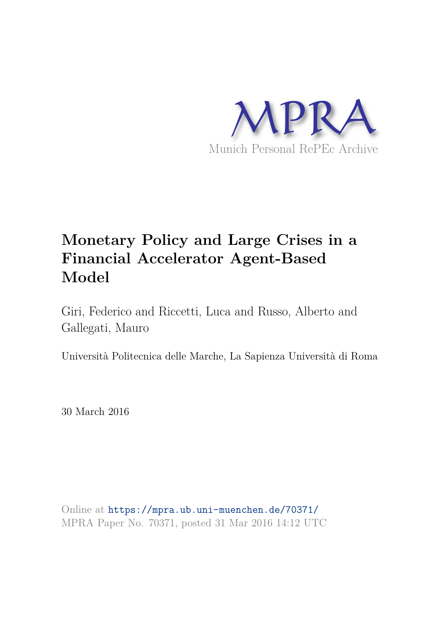

# **Monetary Policy and Large Crises in a Financial Accelerator Agent-Based Model**

Giri, Federico and Riccetti, Luca and Russo, Alberto and Gallegati, Mauro

Università Politecnica delle Marche, La Sapienza Università di Roma

30 March 2016

Online at https://mpra.ub.uni-muenchen.de/70371/ MPRA Paper No. 70371, posted 31 Mar 2016 14:12 UTC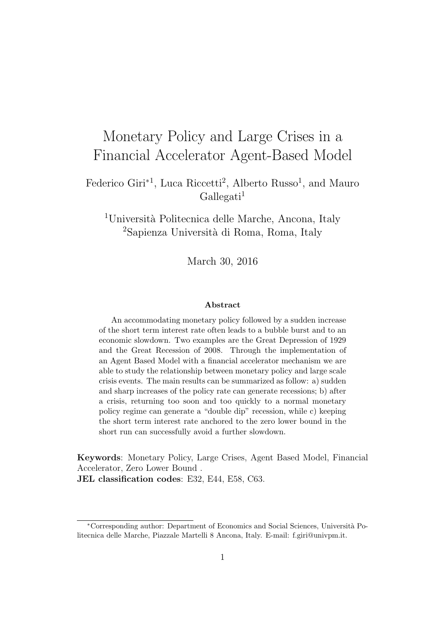# Monetary Policy and Large Crises in a Financial Accelerator Agent-Based Model

Federico Giri<sup>\*1</sup>, Luca Riccetti<sup>2</sup>, Alberto Russo<sup>1</sup>, and Mauro  $Gallegati<sup>1</sup>$ 

<sup>1</sup>Università Politecnica delle Marche, Ancona, Italy <sup>2</sup>Sapienza Università di Roma, Roma, Italy

March 30, 2016

#### Abstract

An accommodating monetary policy followed by a sudden increase of the short term interest rate often leads to a bubble burst and to an economic slowdown. Two examples are the Great Depression of 1929 and the Great Recession of 2008. Through the implementation of an Agent Based Model with a financial accelerator mechanism we are able to study the relationship between monetary policy and large scale crisis events. The main results can be summarized as follow: a) sudden and sharp increases of the policy rate can generate recessions; b) after a crisis, returning too soon and too quickly to a normal monetary policy regime can generate a "double dip" recession, while c) keeping the short term interest rate anchored to the zero lower bound in the short run can successfully avoid a further slowdown.

Keywords: Monetary Policy, Large Crises, Agent Based Model, Financial Accelerator, Zero Lower Bound . JEL classification codes: E32, E44, E58, C63.

<sup>∗</sup>Corresponding author: Department of Economics and Social Sciences, Universit`a Politecnica delle Marche, Piazzale Martelli 8 Ancona, Italy. E-mail: f.giri@univpm.it.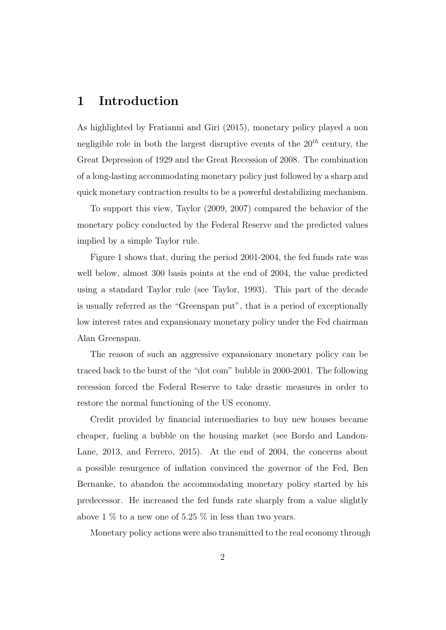## 1 Introduction

As highlighted by Fratianni and Giri (2015), monetary policy played a non negligible role in both the largest disruptive events of the  $20<sup>th</sup>$  century, the Great Depression of 1929 and the Great Recession of 2008. The combination of a long-lasting accommodating monetary policy just followed by a sharp and quick monetary contraction results to be a powerful destabilizing mechanism.

To support this view, Taylor (2009, 2007) compared the behavior of the monetary policy conducted by the Federal Reserve and the predicted values implied by a simple Taylor rule.

Figure 1 shows that, during the period 2001-2004, the fed funds rate was well below, almost 300 basis points at the end of 2004, the value predicted using a standard Taylor rule (see Taylor, 1993). This part of the decade is usually referred as the "Greenspan put", that is a period of exceptionally low interest rates and expansionary monetary policy under the Fed chairman Alan Greenspan.

The reason of such an aggressive expansionary monetary policy can be traced back to the burst of the "dot com" bubble in 2000-2001. The following recession forced the Federal Reserve to take drastic measures in order to restore the normal functioning of the US economy.

Credit provided by financial intermediaries to buy new houses became cheaper, fueling a bubble on the housing market (see Bordo and Landon-Lane, 2013, and Ferrero, 2015). At the end of 2004, the concerns about a possible resurgence of inflation convinced the governor of the Fed, Ben Bernanke, to abandon the accommodating monetary policy started by his predecessor. He increased the fed funds rate sharply from a value slightly above 1  $\%$  to a new one of 5.25  $\%$  in less than two years.

Monetary policy actions were also transmitted to the real economy through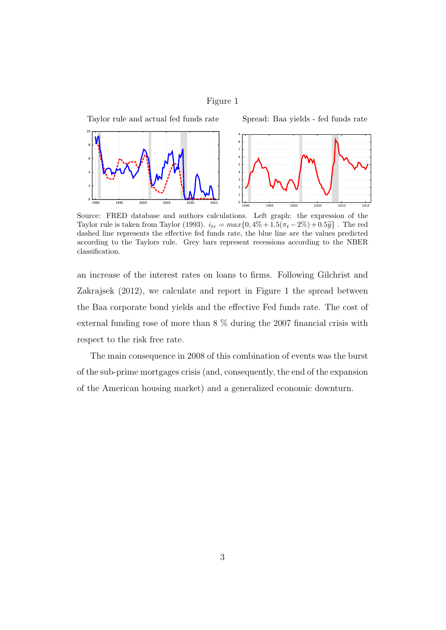#### Figure 1



Source: FRED database and authors calculations. Left graph: the expression of the Taylor rule is taken from Taylor (1993).  $i_{tr} = max\{0, 4\% + 1.5(\pi_t - 2\%) + 0.5\tilde{y}\}\$ . The red dashed line represents the effective fed funds rate, the blue line are the values predicted according to the Taylors rule. Grey bars represent recessions according to the NBER classification.

an increase of the interest rates on loans to firms. Following Gilchrist and Zakrajsek (2012), we calculate and report in Figure 1 the spread between the Baa corporate bond yields and the effective Fed funds rate. The cost of external funding rose of more than 8 % during the 2007 financial crisis with respect to the risk free rate.

The main consequence in 2008 of this combination of events was the burst of the sub-prime mortgages crisis (and, consequently, the end of the expansion of the American housing market) and a generalized economic downturn.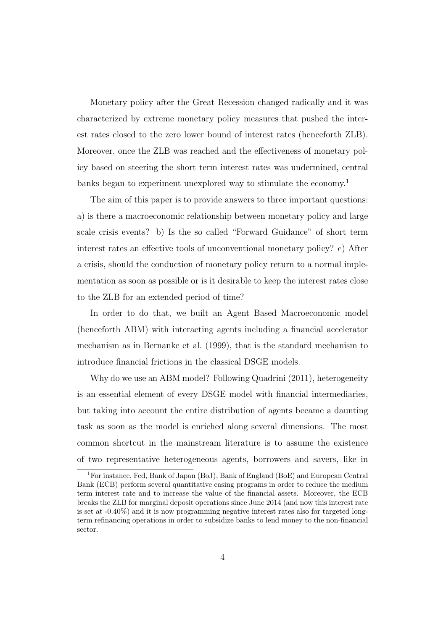Monetary policy after the Great Recession changed radically and it was characterized by extreme monetary policy measures that pushed the interest rates closed to the zero lower bound of interest rates (henceforth ZLB). Moreover, once the ZLB was reached and the effectiveness of monetary policy based on steering the short term interest rates was undermined, central banks began to experiment unexplored way to stimulate the economy.<sup>1</sup>

The aim of this paper is to provide answers to three important questions: a) is there a macroeconomic relationship between monetary policy and large scale crisis events? b) Is the so called "Forward Guidance" of short term interest rates an effective tools of unconventional monetary policy? c) After a crisis, should the conduction of monetary policy return to a normal implementation as soon as possible or is it desirable to keep the interest rates close to the ZLB for an extended period of time?

In order to do that, we built an Agent Based Macroeconomic model (henceforth ABM) with interacting agents including a financial accelerator mechanism as in Bernanke et al. (1999), that is the standard mechanism to introduce financial frictions in the classical DSGE models.

Why do we use an ABM model? Following Quadrini (2011), heterogeneity is an essential element of every DSGE model with financial intermediaries, but taking into account the entire distribution of agents became a daunting task as soon as the model is enriched along several dimensions. The most common shortcut in the mainstream literature is to assume the existence of two representative heterogeneous agents, borrowers and savers, like in

<sup>1</sup>For instance, Fed, Bank of Japan (BoJ), Bank of England (BoE) and European Central Bank (ECB) perform several quantitative easing programs in order to reduce the medium term interest rate and to increase the value of the financial assets. Moreover, the ECB breaks the ZLB for marginal deposit operations since June 2014 (and now this interest rate is set at -0.40%) and it is now programming negative interest rates also for targeted longterm refinancing operations in order to subsidize banks to lend money to the non-financial sector.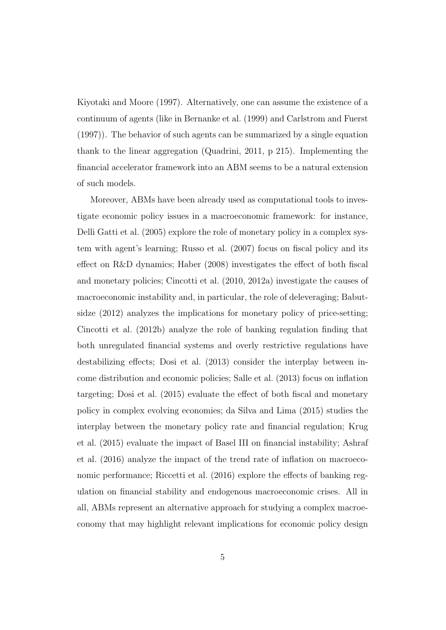Kiyotaki and Moore (1997). Alternatively, one can assume the existence of a continuum of agents (like in Bernanke et al. (1999) and Carlstrom and Fuerst (1997)). The behavior of such agents can be summarized by a single equation thank to the linear aggregation (Quadrini, 2011, p 215). Implementing the financial accelerator framework into an ABM seems to be a natural extension of such models.

Moreover, ABMs have been already used as computational tools to investigate economic policy issues in a macroeconomic framework: for instance, Delli Gatti et al. (2005) explore the role of monetary policy in a complex system with agent's learning; Russo et al. (2007) focus on fiscal policy and its effect on R&D dynamics; Haber (2008) investigates the effect of both fiscal and monetary policies; Cincotti et al. (2010, 2012a) investigate the causes of macroeconomic instability and, in particular, the role of deleveraging; Babutsidze (2012) analyzes the implications for monetary policy of price-setting; Cincotti et al. (2012b) analyze the role of banking regulation finding that both unregulated financial systems and overly restrictive regulations have destabilizing effects; Dosi et al. (2013) consider the interplay between income distribution and economic policies; Salle et al. (2013) focus on inflation targeting; Dosi et al. (2015) evaluate the effect of both fiscal and monetary policy in complex evolving economies; da Silva and Lima (2015) studies the interplay between the monetary policy rate and financial regulation; Krug et al. (2015) evaluate the impact of Basel III on financial instability; Ashraf et al. (2016) analyze the impact of the trend rate of inflation on macroeconomic performance; Riccetti et al.  $(2016)$  explore the effects of banking regulation on financial stability and endogenous macroeconomic crises. All in all, ABMs represent an alternative approach for studying a complex macroeconomy that may highlight relevant implications for economic policy design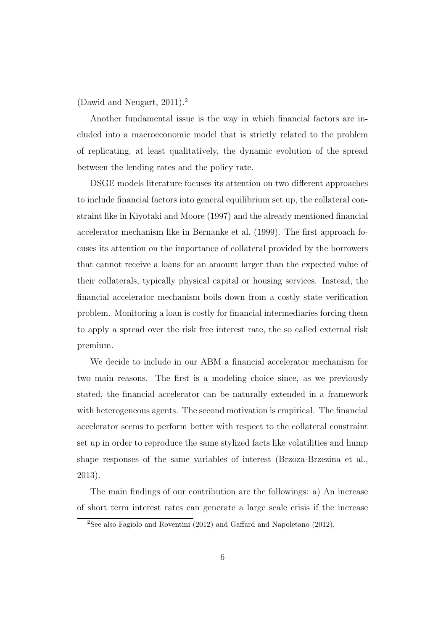(Dawid and Neugart, 2011).<sup>2</sup>

Another fundamental issue is the way in which financial factors are included into a macroeconomic model that is strictly related to the problem of replicating, at least qualitatively, the dynamic evolution of the spread between the lending rates and the policy rate.

DSGE models literature focuses its attention on two different approaches to include financial factors into general equilibrium set up, the collateral constraint like in Kiyotaki and Moore (1997) and the already mentioned financial accelerator mechanism like in Bernanke et al. (1999). The first approach focuses its attention on the importance of collateral provided by the borrowers that cannot receive a loans for an amount larger than the expected value of their collaterals, typically physical capital or housing services. Instead, the financial accelerator mechanism boils down from a costly state verification problem. Monitoring a loan is costly for financial intermediaries forcing them to apply a spread over the risk free interest rate, the so called external risk premium.

We decide to include in our ABM a financial accelerator mechanism for two main reasons. The first is a modeling choice since, as we previously stated, the financial accelerator can be naturally extended in a framework with heterogeneous agents. The second motivation is empirical. The financial accelerator seems to perform better with respect to the collateral constraint set up in order to reproduce the same stylized facts like volatilities and hump shape responses of the same variables of interest (Brzoza-Brzezina et al., 2013).

The main findings of our contribution are the followings: a) An increase of short term interest rates can generate a large scale crisis if the increase

<sup>2</sup>See also Fagiolo and Roventini (2012) and Gaffard and Napoletano (2012).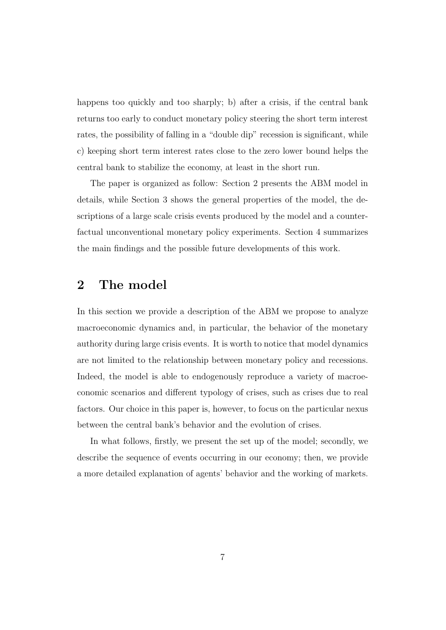happens too quickly and too sharply; b) after a crisis, if the central bank returns too early to conduct monetary policy steering the short term interest rates, the possibility of falling in a "double dip" recession is significant, while c) keeping short term interest rates close to the zero lower bound helps the central bank to stabilize the economy, at least in the short run.

The paper is organized as follow: Section 2 presents the ABM model in details, while Section 3 shows the general properties of the model, the descriptions of a large scale crisis events produced by the model and a counterfactual unconventional monetary policy experiments. Section 4 summarizes the main findings and the possible future developments of this work.

## 2 The model

In this section we provide a description of the ABM we propose to analyze macroeconomic dynamics and, in particular, the behavior of the monetary authority during large crisis events. It is worth to notice that model dynamics are not limited to the relationship between monetary policy and recessions. Indeed, the model is able to endogenously reproduce a variety of macroeconomic scenarios and different typology of crises, such as crises due to real factors. Our choice in this paper is, however, to focus on the particular nexus between the central bank's behavior and the evolution of crises.

In what follows, firstly, we present the set up of the model; secondly, we describe the sequence of events occurring in our economy; then, we provide a more detailed explanation of agents' behavior and the working of markets.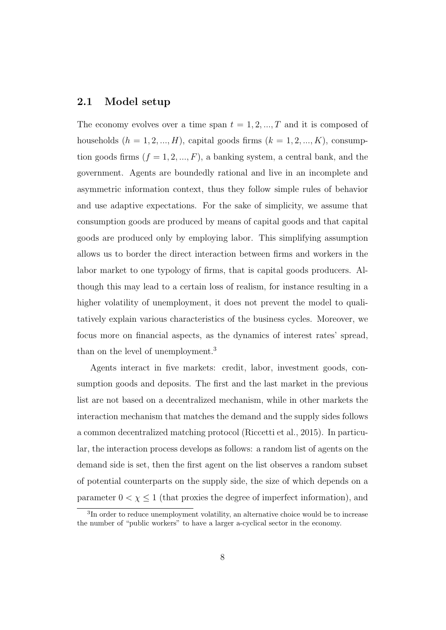#### 2.1 Model setup

The economy evolves over a time span  $t = 1, 2, ..., T$  and it is composed of households  $(h = 1, 2, ..., H)$ , capital goods firms  $(k = 1, 2, ..., K)$ , consumption goods firms  $(f = 1, 2, ..., F)$ , a banking system, a central bank, and the government. Agents are boundedly rational and live in an incomplete and asymmetric information context, thus they follow simple rules of behavior and use adaptive expectations. For the sake of simplicity, we assume that consumption goods are produced by means of capital goods and that capital goods are produced only by employing labor. This simplifying assumption allows us to border the direct interaction between firms and workers in the labor market to one typology of firms, that is capital goods producers. Although this may lead to a certain loss of realism, for instance resulting in a higher volatility of unemployment, it does not prevent the model to qualitatively explain various characteristics of the business cycles. Moreover, we focus more on financial aspects, as the dynamics of interest rates' spread, than on the level of unemployment.<sup>3</sup>

Agents interact in five markets: credit, labor, investment goods, consumption goods and deposits. The first and the last market in the previous list are not based on a decentralized mechanism, while in other markets the interaction mechanism that matches the demand and the supply sides follows a common decentralized matching protocol (Riccetti et al., 2015). In particular, the interaction process develops as follows: a random list of agents on the demand side is set, then the first agent on the list observes a random subset of potential counterparts on the supply side, the size of which depends on a parameter  $0 < \chi \leq 1$  (that proxies the degree of imperfect information), and

<sup>3</sup> In order to reduce unemployment volatility, an alternative choice would be to increase the number of "public workers" to have a larger a-cyclical sector in the economy.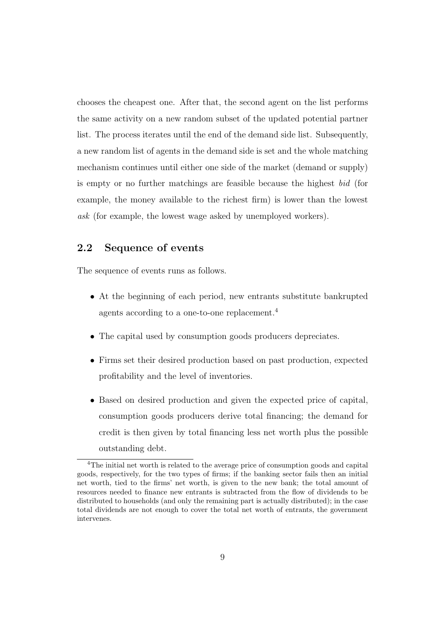chooses the cheapest one. After that, the second agent on the list performs the same activity on a new random subset of the updated potential partner list. The process iterates until the end of the demand side list. Subsequently, a new random list of agents in the demand side is set and the whole matching mechanism continues until either one side of the market (demand or supply) is empty or no further matchings are feasible because the highest bid (for example, the money available to the richest firm) is lower than the lowest ask (for example, the lowest wage asked by unemployed workers).

## 2.2 Sequence of events

The sequence of events runs as follows.

- At the beginning of each period, new entrants substitute bankrupted agents according to a one-to-one replacement.<sup>4</sup>
- The capital used by consumption goods producers depreciates.
- Firms set their desired production based on past production, expected profitability and the level of inventories.
- Based on desired production and given the expected price of capital, consumption goods producers derive total financing; the demand for credit is then given by total financing less net worth plus the possible outstanding debt.

<sup>4</sup>The initial net worth is related to the average price of consumption goods and capital goods, respectively, for the two types of firms; if the banking sector fails then an initial net worth, tied to the firms' net worth, is given to the new bank; the total amount of resources needed to finance new entrants is subtracted from the flow of dividends to be distributed to households (and only the remaining part is actually distributed); in the case total dividends are not enough to cover the total net worth of entrants, the government intervenes.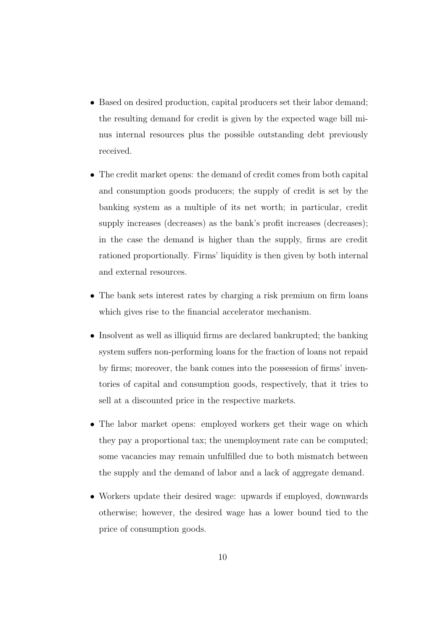- Based on desired production, capital producers set their labor demand; the resulting demand for credit is given by the expected wage bill minus internal resources plus the possible outstanding debt previously received.
- The credit market opens: the demand of credit comes from both capital and consumption goods producers; the supply of credit is set by the banking system as a multiple of its net worth; in particular, credit supply increases (decreases) as the bank's profit increases (decreases); in the case the demand is higher than the supply, firms are credit rationed proportionally. Firms' liquidity is then given by both internal and external resources.
- The bank sets interest rates by charging a risk premium on firm loans which gives rise to the financial accelerator mechanism.
- Insolvent as well as illiquid firms are declared bankrupted; the banking system suffers non-performing loans for the fraction of loans not repaid by firms; moreover, the bank comes into the possession of firms' inventories of capital and consumption goods, respectively, that it tries to sell at a discounted price in the respective markets.
- The labor market opens: employed workers get their wage on which they pay a proportional tax; the unemployment rate can be computed; some vacancies may remain unfulfilled due to both mismatch between the supply and the demand of labor and a lack of aggregate demand.
- Workers update their desired wage: upwards if employed, downwards otherwise; however, the desired wage has a lower bound tied to the price of consumption goods.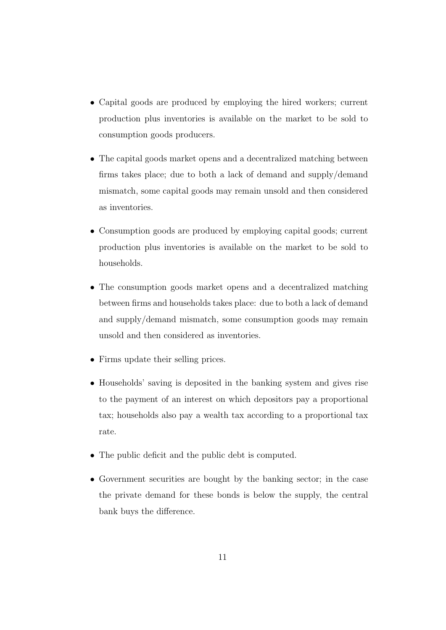- Capital goods are produced by employing the hired workers; current production plus inventories is available on the market to be sold to consumption goods producers.
- The capital goods market opens and a decentralized matching between firms takes place; due to both a lack of demand and supply/demand mismatch, some capital goods may remain unsold and then considered as inventories.
- Consumption goods are produced by employing capital goods; current production plus inventories is available on the market to be sold to households.
- The consumption goods market opens and a decentralized matching between firms and households takes place: due to both a lack of demand and supply/demand mismatch, some consumption goods may remain unsold and then considered as inventories.
- Firms update their selling prices.
- Households' saving is deposited in the banking system and gives rise to the payment of an interest on which depositors pay a proportional tax; households also pay a wealth tax according to a proportional tax rate.
- The public deficit and the public debt is computed.
- Government securities are bought by the banking sector; in the case the private demand for these bonds is below the supply, the central bank buys the difference.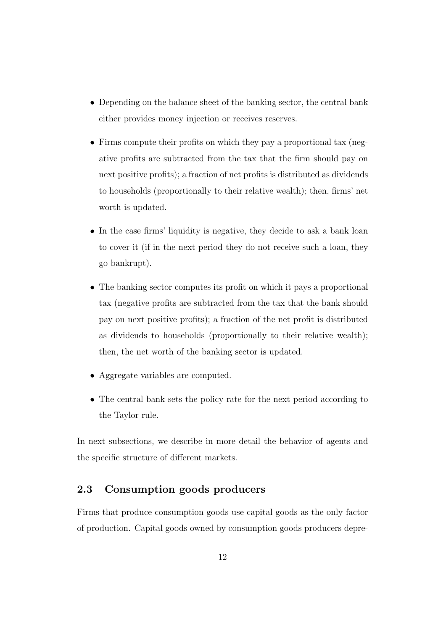- Depending on the balance sheet of the banking sector, the central bank either provides money injection or receives reserves.
- Firms compute their profits on which they pay a proportional tax (negative profits are subtracted from the tax that the firm should pay on next positive profits); a fraction of net profits is distributed as dividends to households (proportionally to their relative wealth); then, firms' net worth is updated.
- In the case firms' liquidity is negative, they decide to ask a bank loan to cover it (if in the next period they do not receive such a loan, they go bankrupt).
- The banking sector computes its profit on which it pays a proportional tax (negative profits are subtracted from the tax that the bank should pay on next positive profits); a fraction of the net profit is distributed as dividends to households (proportionally to their relative wealth); then, the net worth of the banking sector is updated.
- Aggregate variables are computed.
- The central bank sets the policy rate for the next period according to the Taylor rule.

In next subsections, we describe in more detail the behavior of agents and the specific structure of different markets.

#### 2.3 Consumption goods producers

Firms that produce consumption goods use capital goods as the only factor of production. Capital goods owned by consumption goods producers depre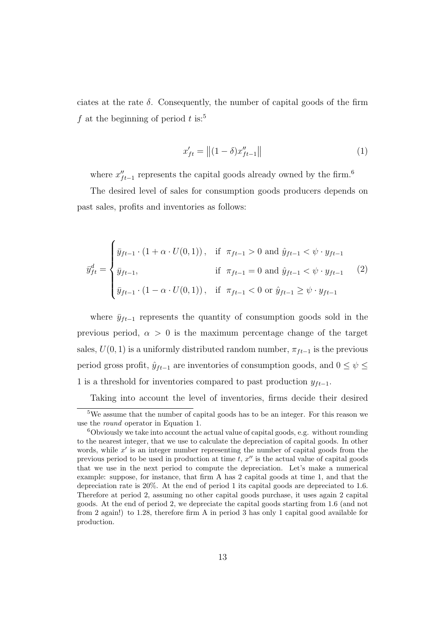ciates at the rate  $\delta$ . Consequently, the number of capital goods of the firm f at the beginning of period t is:<sup>5</sup>

$$
x'_{ft} = || (1 - \delta) x''_{ft-1} ||
$$
 (1)

where  $x''_{ft-1}$  represents the capital goods already owned by the firm.<sup>6</sup>

The desired level of sales for consumption goods producers depends on past sales, profits and inventories as follows:

$$
\bar{y}_{ft}^{d} = \begin{cases} \bar{y}_{ft-1} \cdot (1 + \alpha \cdot U(0,1)), & \text{if } \pi_{ft-1} > 0 \text{ and } \hat{y}_{ft-1} < \psi \cdot y_{ft-1} \\ \bar{y}_{ft-1}, & \text{if } \pi_{ft-1} = 0 \text{ and } \hat{y}_{ft-1} < \psi \cdot y_{ft-1} \\ \bar{y}_{ft-1} \cdot (1 - \alpha \cdot U(0,1)), & \text{if } \pi_{ft-1} < 0 \text{ or } \hat{y}_{ft-1} \ge \psi \cdot y_{ft-1} \end{cases} (2)
$$

where  $\bar{y}_{ft-1}$  represents the quantity of consumption goods sold in the previous period,  $\alpha > 0$  is the maximum percentage change of the target sales,  $U(0, 1)$  is a uniformly distributed random number,  $\pi_{ft-1}$  is the previous period gross profit,  $\hat{y}_{ft-1}$  are inventories of consumption goods, and  $0 \leq \psi \leq$ 1 is a threshold for inventories compared to past production  $y_{ft-1}$ .

Taking into account the level of inventories, firms decide their desired

 $\overline{5W}$ e assume that the number of capital goods has to be an integer. For this reason we use the round operator in Equation 1.

 $6$ Obviously we take into account the actual value of capital goods, e.g. without rounding to the nearest integer, that we use to calculate the depreciation of capital goods. In other words, while  $x'$  is an integer number representing the number of capital goods from the previous period to be used in production at time  $\tilde{t}$ ,  $x''$  is the actual value of capital goods that we use in the next period to compute the depreciation. Let's make a numerical example: suppose, for instance, that firm A has 2 capital goods at time 1, and that the depreciation rate is 20%. At the end of period 1 its capital goods are depreciated to 1.6. Therefore at period 2, assuming no other capital goods purchase, it uses again 2 capital goods. At the end of period 2, we depreciate the capital goods starting from 1.6 (and not from 2 again!) to 1.28, therefore firm A in period 3 has only 1 capital good available for production.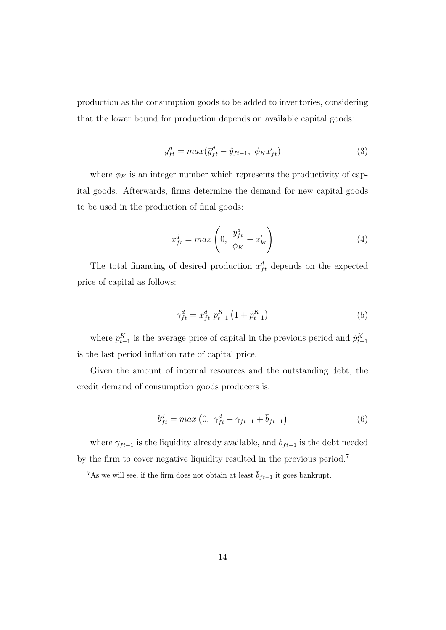production as the consumption goods to be added to inventories, considering that the lower bound for production depends on available capital goods:

$$
y_{ft}^d = max(\bar{y}_{ft}^d - \hat{y}_{ft-1}, \ \phi_K x_{ft}')
$$
 (3)

where  $\phi_K$  is an integer number which represents the productivity of capital goods. Afterwards, firms determine the demand for new capital goods to be used in the production of final goods:

$$
x_{ft}^d = max\left(0, \frac{y_{ft}^d}{\phi_K} - x_{kt}'\right) \tag{4}
$$

The total financing of desired production  $x_{ft}^d$  depends on the expected price of capital as follows:

$$
\gamma_{ft}^d = x_{ft}^d \ p_{t-1}^K \left( 1 + \dot{p}_{t-1}^K \right) \tag{5}
$$

where  $p_{t-1}^K$  is the average price of capital in the previous period and  $\dot{p}_{t-1}^K$ is the last period inflation rate of capital price.

Given the amount of internal resources and the outstanding debt, the credit demand of consumption goods producers is:

$$
b_{ft}^{d} = max (0, \ \gamma_{ft}^{d} - \gamma_{ft-1} + \bar{b}_{ft-1})
$$
 (6)

where  $\gamma_{ft-1}$  is the liquidity already available, and  $\bar{b}_{ft-1}$  is the debt needed by the firm to cover negative liquidity resulted in the previous period.<sup>7</sup>

<sup>&</sup>lt;sup>7</sup>As we will see, if the firm does not obtain at least  $\bar{b}_{ft-1}$  it goes bankrupt.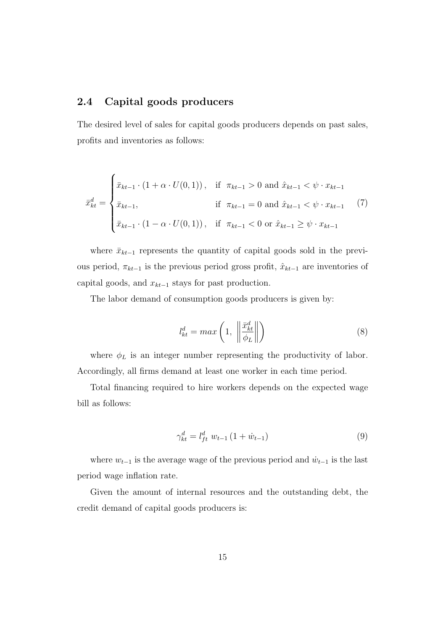### 2.4 Capital goods producers

The desired level of sales for capital goods producers depends on past sales, profits and inventories as follows:

$$
\bar{x}_{kt}^d = \begin{cases}\n\bar{x}_{kt-1} \cdot (1 + \alpha \cdot U(0, 1)), & \text{if } \pi_{kt-1} > 0 \text{ and } \hat{x}_{kt-1} < \psi \cdot x_{kt-1} \\
\bar{x}_{kt-1}, & \text{if } \pi_{kt-1} = 0 \text{ and } \hat{x}_{kt-1} < \psi \cdot x_{kt-1} \\
\bar{x}_{kt-1} \cdot (1 - \alpha \cdot U(0, 1)), & \text{if } \pi_{kt-1} < 0 \text{ or } \hat{x}_{kt-1} \ge \psi \cdot x_{kt-1}\n\end{cases}
$$
\n(7)

where  $\bar{x}_{kt-1}$  represents the quantity of capital goods sold in the previous period,  $\pi_{kt-1}$  is the previous period gross profit,  $\hat{x}_{kt-1}$  are inventories of capital goods, and  $x_{kt-1}$  stays for past production.

The labor demand of consumption goods producers is given by:

$$
l_{kt}^d = max\left(1, \left\|\frac{\bar{x}_{kt}^d}{\phi_L}\right\|\right) \tag{8}
$$

where  $\phi_L$  is an integer number representing the productivity of labor. Accordingly, all firms demand at least one worker in each time period.

Total financing required to hire workers depends on the expected wage bill as follows:

$$
\gamma_{kt}^d = l_{ft}^d w_{t-1} (1 + \dot{w}_{t-1}) \tag{9}
$$

where  $w_{t-1}$  is the average wage of the previous period and  $\dot{w}_{t-1}$  is the last period wage inflation rate.

Given the amount of internal resources and the outstanding debt, the credit demand of capital goods producers is: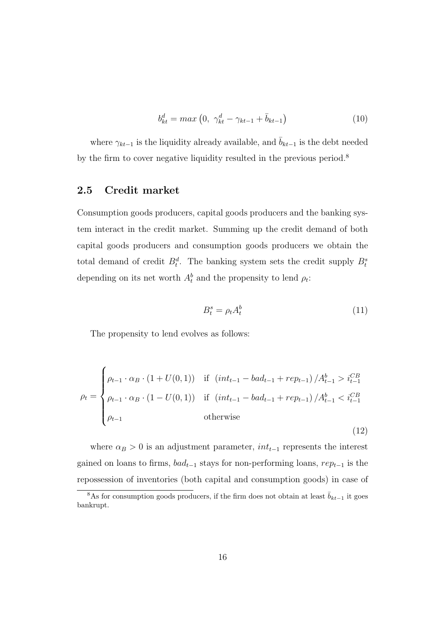$$
b_{kt}^d = max\left(0, \ \gamma_{kt}^d - \gamma_{kt-1} + \bar{b}_{kt-1}\right) \tag{10}
$$

where  $\gamma_{kt-1}$  is the liquidity already available, and  $\bar{b}_{kt-1}$  is the debt needed by the firm to cover negative liquidity resulted in the previous period.<sup>8</sup>

#### 2.5 Credit market

Consumption goods producers, capital goods producers and the banking system interact in the credit market. Summing up the credit demand of both capital goods producers and consumption goods producers we obtain the total demand of credit  $B_t^d$ . The banking system sets the credit supply  $B_t^s$ depending on its net worth  $A_t^b$  and the propensity to lend  $\rho_t$ :

$$
B_t^s = \rho_t A_t^b \tag{11}
$$

(12)

The propensity to lend evolves as follows:

$$
\rho_t = \begin{cases} \rho_{t-1} \cdot \alpha_B \cdot (1 + U(0, 1)) & \text{if } \left( int_{t-1} - bad_{t-1} + rep_{t-1} \right) / A_{t-1}^b > i_{t-1}^{CB} \\ \rho_{t-1} \cdot \alpha_B \cdot (1 - U(0, 1)) & \text{if } \left( int_{t-1} - bad_{t-1} + rep_{t-1} \right) / A_{t-1}^b < i_{t-1}^{CB} \\ \rho_{t-1} & \text{otherwise} \end{cases}
$$

where  $\alpha_B > 0$  is an adjustment parameter,  $int_{t-1}$  represents the interest gained on loans to firms,  $bad_{t-1}$  stays for non-performing loans,  $rep_{t-1}$  is the repossession of inventories (both capital and consumption goods) in case of

<sup>&</sup>lt;sup>8</sup>As for consumption goods producers, if the firm does not obtain at least  $\bar{b}_{kt-1}$  it goes bankrupt.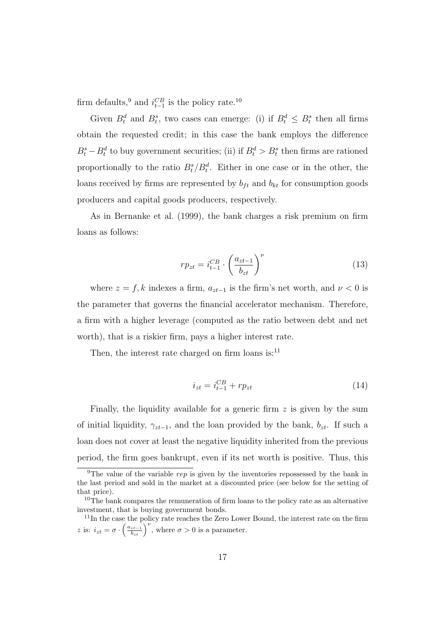firm defaults,<sup>9</sup> and  $i_{t-1}^{CB}$  is the policy rate.<sup>10</sup>

Given  $B_t^d$  and  $B_t^s$ , two cases can emerge: (i) if  $B_t^d \leq B_t^s$  then all firms obtain the requested credit; in this case the bank employs the difference  $B_t^s - B_t^d$  to buy government securities; (ii) if  $B_t^d > B_t^s$  then firms are rationed proportionally to the ratio  $B_t^s/B_t^d$ . Either in one case or in the other, the loans received by firms are represented by  $b_{ft}$  and  $b_{kt}$  for consumption goods producers and capital goods producers, respectively.

As in Bernanke et al. (1999), the bank charges a risk premium on firm loans as follows:

$$
rp_{zt} = i_{t-1}^{CB} \cdot \left(\frac{a_{zt-1}}{b_{zt}}\right)^{\nu} \tag{13}
$$

where  $z = f, k$  indexes a firm,  $a_{zt-1}$  is the firm's net worth, and  $\nu < 0$  is the parameter that governs the financial accelerator mechanism. Therefore, a firm with a higher leverage (computed as the ratio between debt and net worth), that is a riskier firm, pays a higher interest rate.

Then, the interest rate charged on firm loans is: $^{11}$ 

$$
i_{zt} = i_{t-1}^{CB} + rp_{zt}
$$
 (14)

Finally, the liquidity available for a generic firm  $z$  is given by the sum of initial liquidity,  $\gamma_{zt-1}$ , and the loan provided by the bank,  $b_{zt}$ . If such a loan does not cover at least the negative liquidity inherited from the previous period, the firm goes bankrupt, even if its net worth is positive. Thus, this

<sup>&</sup>lt;sup>9</sup>The value of the variable *rep* is given by the inventories repossessed by the bank in the last period and sold in the market at a discounted price (see below for the setting of that price).

<sup>&</sup>lt;sup>10</sup>The bank compares the remuneration of firm loans to the policy rate as an alternative investment, that is buying government bonds.

<sup>&</sup>lt;sup>11</sup>In the case the policy rate reaches the Zero Lower Bound, the interest rate on the firm z is:  $i_{zt} = \sigma \cdot \left(\frac{a_{zt-1}}{b_{zt}}\right)^{\nu}$ , where  $\sigma > 0$  is a parameter.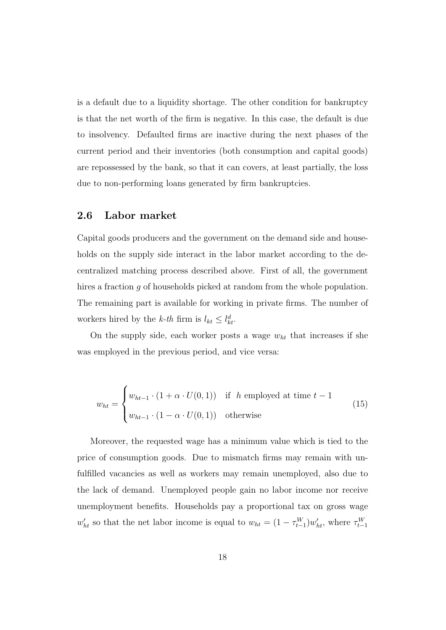is a default due to a liquidity shortage. The other condition for bankruptcy is that the net worth of the firm is negative. In this case, the default is due to insolvency. Defaulted firms are inactive during the next phases of the current period and their inventories (both consumption and capital goods) are repossessed by the bank, so that it can covers, at least partially, the loss due to non-performing loans generated by firm bankruptcies.

#### 2.6 Labor market

Capital goods producers and the government on the demand side and households on the supply side interact in the labor market according to the decentralized matching process described above. First of all, the government hires a fraction g of households picked at random from the whole population. The remaining part is available for working in private firms. The number of workers hired by the k-th firm is  $l_{kt} \leq l_{kt}^d$ .

On the supply side, each worker posts a wage  $w_{ht}$  that increases if she was employed in the previous period, and vice versa:

$$
w_{ht} = \begin{cases} w_{ht-1} \cdot (1 + \alpha \cdot U(0,1)) & \text{if } h \text{ employed at time } t - 1 \\ w_{ht-1} \cdot (1 - \alpha \cdot U(0,1)) & \text{otherwise} \end{cases}
$$
(15)

Moreover, the requested wage has a minimum value which is tied to the price of consumption goods. Due to mismatch firms may remain with unfulfilled vacancies as well as workers may remain unemployed, also due to the lack of demand. Unemployed people gain no labor income nor receive unemployment benefits. Households pay a proportional tax on gross wage  $w'_{ht}$  so that the net labor income is equal to  $w_{ht} = (1 - \tau_{t-1}^W) w'_{ht}$ , where  $\tau_{t-1}^W$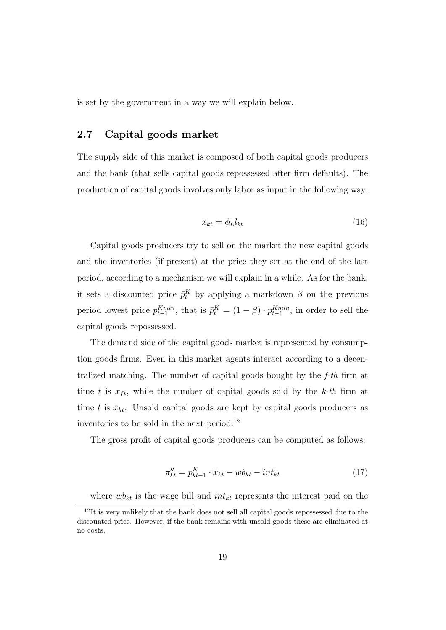is set by the government in a way we will explain below.

#### 2.7 Capital goods market

The supply side of this market is composed of both capital goods producers and the bank (that sells capital goods repossessed after firm defaults). The production of capital goods involves only labor as input in the following way:

$$
x_{kt} = \phi_L l_{kt} \tag{16}
$$

Capital goods producers try to sell on the market the new capital goods and the inventories (if present) at the price they set at the end of the last period, according to a mechanism we will explain in a while. As for the bank, it sets a discounted price  $\bar{p}_t^K$  by applying a markdown  $\beta$  on the previous period lowest price  $p_{t-1}^{Kmin}$ , that is  $\bar{p}_t^K = (1 - \beta) \cdot p_{t-1}^{Kmin}$ , in order to sell the capital goods repossessed.

The demand side of the capital goods market is represented by consumption goods firms. Even in this market agents interact according to a decentralized matching. The number of capital goods bought by the f-th firm at time t is  $x_{ft}$ , while the number of capital goods sold by the k-th firm at time t is  $\bar{x}_{kt}$ . Unsold capital goods are kept by capital goods producers as inventories to be sold in the next period.<sup>12</sup>

The gross profit of capital goods producers can be computed as follows:

$$
\pi_{kt}'' = p_{kt-1}^K \cdot \bar{x}_{kt} - wb_{kt} - int_{kt}
$$
\n
$$
(17)
$$

where  $wb_{kt}$  is the wage bill and  $int_{kt}$  represents the interest paid on the

 $12$ It is very unlikely that the bank does not sell all capital goods repossessed due to the discounted price. However, if the bank remains with unsold goods these are eliminated at no costs.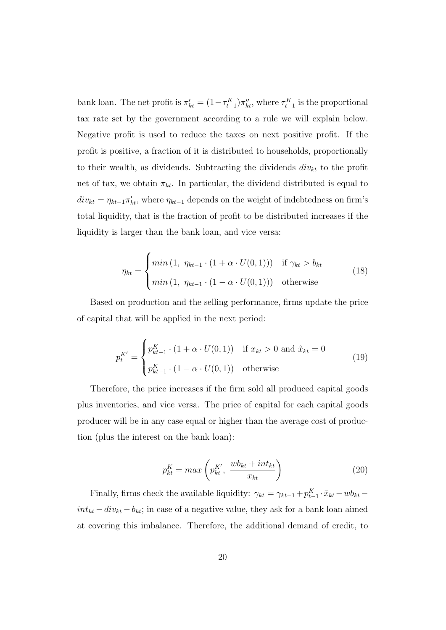bank loan. The net profit is  $\pi'_{kt} = (1 - \tau_{t-1}^K) \pi''_{kt}$ , where  $\tau_{t-1}^K$  is the proportional tax rate set by the government according to a rule we will explain below. Negative profit is used to reduce the taxes on next positive profit. If the profit is positive, a fraction of it is distributed to households, proportionally to their wealth, as dividends. Subtracting the dividends  $div_{kt}$  to the profit net of tax, we obtain  $\pi_{kt}$ . In particular, the dividend distributed is equal to  $div_{kt} = \eta_{kt-1} \pi'_{kt}$ , where  $\eta_{kt-1}$  depends on the weight of indebtedness on firm's total liquidity, that is the fraction of profit to be distributed increases if the liquidity is larger than the bank loan, and vice versa:

$$
\eta_{kt} = \begin{cases}\n\min\left(1, \ \eta_{kt-1} \cdot (1 + \alpha \cdot U(0,1))\right) & \text{if } \gamma_{kt} > b_{kt} \\
\min\left(1, \ \eta_{kt-1} \cdot (1 - \alpha \cdot U(0,1))\right) & \text{otherwise}\n\end{cases}
$$
\n(18)

Based on production and the selling performance, firms update the price of capital that will be applied in the next period:

$$
p_t^{K'} = \begin{cases} p_{kt-1}^K \cdot (1 + \alpha \cdot U(0, 1)) & \text{if } x_{kt} > 0 \text{ and } \hat{x}_{kt} = 0 \\ p_{kt-1}^K \cdot (1 - \alpha \cdot U(0, 1)) & \text{otherwise} \end{cases}
$$
(19)

Therefore, the price increases if the firm sold all produced capital goods plus inventories, and vice versa. The price of capital for each capital goods producer will be in any case equal or higher than the average cost of production (plus the interest on the bank loan):

$$
p_{kt}^K = max\left(p_{kt}^{K'}, \frac{wb_{kt} + int_{kt}}{x_{kt}}\right)
$$
\n(20)

Finally, firms check the available liquidity:  $\gamma_{kt} = \gamma_{kt-1} + p_{t-1}^K \cdot \bar{x}_{kt} - wb_{kt}$  $int_{kt} - div_{kt} - b_{kt}$ ; in case of a negative value, they ask for a bank loan aimed at covering this imbalance. Therefore, the additional demand of credit, to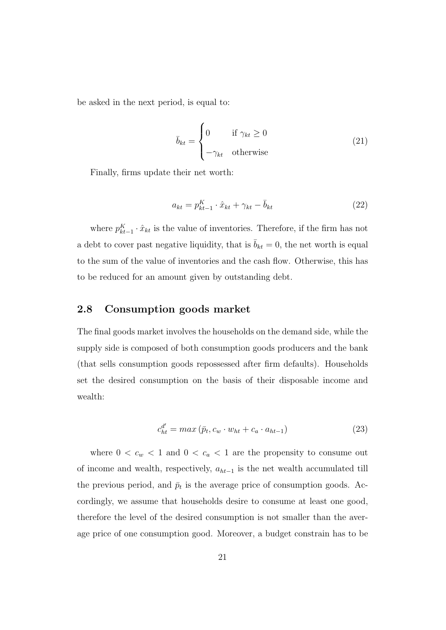be asked in the next period, is equal to:

$$
\bar{b}_{kt} = \begin{cases}\n0 & \text{if } \gamma_{kt} \ge 0 \\
-\gamma_{kt} & \text{otherwise}\n\end{cases}
$$
\n(21)

Finally, firms update their net worth:

$$
a_{kt} = p_{kt-1}^K \cdot \hat{x}_{kt} + \gamma_{kt} - \bar{b}_{kt}
$$
\n
$$
(22)
$$

where  $p_{kt-1}^K \cdot \hat{x}_{kt}$  is the value of inventories. Therefore, if the firm has not a debt to cover past negative liquidity, that is  $\bar{b}_{kt} = 0$ , the net worth is equal to the sum of the value of inventories and the cash flow. Otherwise, this has to be reduced for an amount given by outstanding debt.

## 2.8 Consumption goods market

The final goods market involves the households on the demand side, while the supply side is composed of both consumption goods producers and the bank (that sells consumption goods repossessed after firm defaults). Households set the desired consumption on the basis of their disposable income and wealth:

$$
c_{ht}^{d'} = max\left(\bar{p}_t, c_w \cdot w_{ht} + c_a \cdot a_{ht-1}\right) \tag{23}
$$

where  $0 < c_w < 1$  and  $0 < c_a < 1$  are the propensity to consume out of income and wealth, respectively,  $a_{ht-1}$  is the net wealth accumulated till the previous period, and  $\bar{p}_t$  is the average price of consumption goods. Accordingly, we assume that households desire to consume at least one good, therefore the level of the desired consumption is not smaller than the average price of one consumption good. Moreover, a budget constrain has to be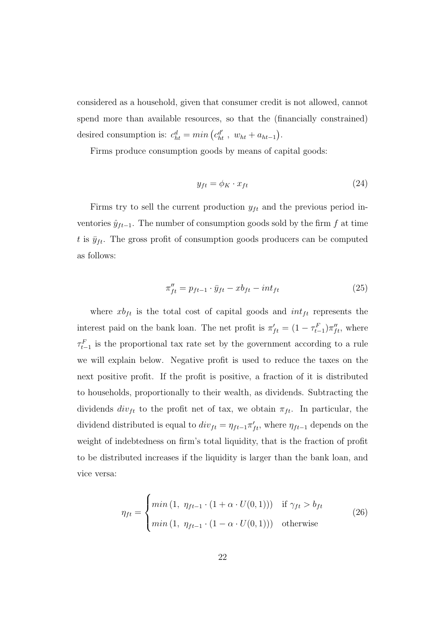considered as a household, given that consumer credit is not allowed, cannot spend more than available resources, so that the (financially constrained) desired consumption is:  $c_{ht}^d = min\left(c_{ht}^{d'}, w_{ht} + a_{ht-1}\right)$ .

Firms produce consumption goods by means of capital goods:

$$
y_{ft} = \phi_K \cdot x_{ft} \tag{24}
$$

Firms try to sell the current production  $y_{ft}$  and the previous period inventories  $\hat{y}_{ft-1}$ . The number of consumption goods sold by the firm f at time t is  $\bar{y}_{ft}$ . The gross profit of consumption goods producers can be computed as follows:

$$
\pi_{ft}'' = p_{ft-1} \cdot \bar{y}_{ft} - x b_{ft} - int_{ft} \tag{25}
$$

where  $xb_{ft}$  is the total cost of capital goods and  $int_{ft}$  represents the interest paid on the bank loan. The net profit is  $\pi'_{ft} = (1 - \tau_{t-1}^F) \pi''_{ft}$ , where  $\tau_{t-1}^F$  is the proportional tax rate set by the government according to a rule we will explain below. Negative profit is used to reduce the taxes on the next positive profit. If the profit is positive, a fraction of it is distributed to households, proportionally to their wealth, as dividends. Subtracting the dividends  $div_{ft}$  to the profit net of tax, we obtain  $\pi_{ft}$ . In particular, the dividend distributed is equal to  $div_{ft} = \eta_{ft-1} \pi'_{ft}$ , where  $\eta_{ft-1}$  depends on the weight of indebtedness on firm's total liquidity, that is the fraction of profit to be distributed increases if the liquidity is larger than the bank loan, and vice versa:

$$
\eta_{ft} = \begin{cases} \min\left(1, \ \eta_{ft-1} \cdot (1 + \alpha \cdot U(0,1))\right) & \text{if } \gamma_{ft} > b_{ft} \\ \min\left(1, \ \eta_{ft-1} \cdot (1 - \alpha \cdot U(0,1))\right) & \text{otherwise} \end{cases}
$$
\n(26)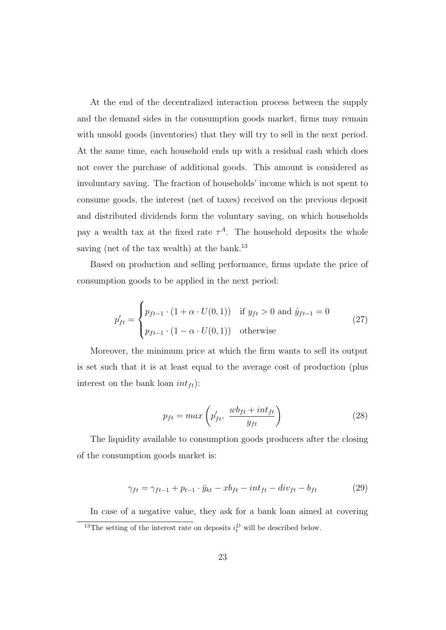At the end of the decentralized interaction process between the supply and the demand sides in the consumption goods market, firms may remain with unsold goods (inventories) that they will try to sell in the next period. At the same time, each household ends up with a residual cash which does not cover the purchase of additional goods. This amount is considered as involuntary saving. The fraction of households' income which is not spent to consume goods, the interest (net of taxes) received on the previous deposit and distributed dividends form the voluntary saving, on which households pay a wealth tax at the fixed rate  $\tau^A$ . The household deposits the whole saving (net of the tax wealth) at the bank.<sup>13</sup>

Based on production and selling performance, firms update the price of consumption goods to be applied in the next period:

$$
p'_{ft} = \begin{cases} p_{ft-1} \cdot (1 + \alpha \cdot U(0, 1)) & \text{if } y_{ft} > 0 \text{ and } \hat{y}_{ft-1} = 0 \\ p_{ft-1} \cdot (1 - \alpha \cdot U(0, 1)) & \text{otherwise} \end{cases}
$$
 (27)

Moreover, the minimum price at which the firm wants to sell its output is set such that it is at least equal to the average cost of production (plus interest on the bank loan  $int_{ft}$ :

$$
p_{ft} = max\left(p'_{ft}, \frac{wb_{ft} + int_{ft}}{y_{ft}}\right)
$$
\n(28)

The liquidity available to consumption goods producers after the closing of the consumption goods market is:

$$
\gamma_{ft} = \gamma_{ft-1} + p_{t-1} \cdot \bar{y}_{kt} - x b_{ft} - int_{ft} - div_{ft} - b_{ft} \tag{29}
$$

In case of a negative value, they ask for a bank loan aimed at covering <sup>13</sup>The setting of the interest rate on deposits  $i_t^D$  will be described below.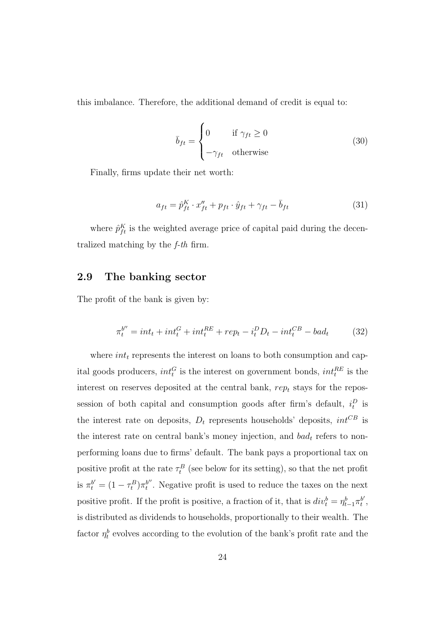this imbalance. Therefore, the additional demand of credit is equal to:

$$
\bar{b}_{ft} = \begin{cases}\n0 & \text{if } \gamma_{ft} \ge 0 \\
-\gamma_{ft} & \text{otherwise}\n\end{cases}
$$
\n(30)

Finally, firms update their net worth:

$$
a_{ft} = \hat{p}_{ft}^K \cdot x_{ft}'' + p_{ft} \cdot \hat{y}_{ft} + \gamma_{ft} - \bar{b}_{ft}
$$
\n(31)

where  $\hat{p}_{ft}^{K}$  is the weighted average price of capital paid during the decentralized matching by the f-th firm.

## 2.9 The banking sector

The profit of the bank is given by:

$$
\pi_t^{b''} = int_t + int_t^G + int_t^{RE} + rep_t - i_t^D D_t - int_t^{CB} - bad_t \tag{32}
$$

where  $int_t$  represents the interest on loans to both consumption and capital goods producers,  $int_t^G$  is the interest on government bonds,  $int_t^{RE}$  is the interest on reserves deposited at the central bank,  $rep_t$  stays for the repossession of both capital and consumption goods after firm's default,  $i_t^D$  is the interest rate on deposits,  $D_t$  represents households' deposits,  $int^{CB}$  is the interest rate on central bank's money injection, and  $bad_t$  refers to nonperforming loans due to firms' default. The bank pays a proportional tax on positive profit at the rate  $\tau_t^B$  (see below for its setting), so that the net profit is  $\pi_t^{b'} = (1 - \tau_t^B) \pi_t^{b''}$  $t'$ . Negative profit is used to reduce the taxes on the next positive profit. If the profit is positive, a fraction of it, that is  $div_t^b = \eta_{t-1}^b \pi_t^{b'}$  $_t^{b'}$  , is distributed as dividends to households, proportionally to their wealth. The factor  $\eta_t^b$  evolves according to the evolution of the bank's profit rate and the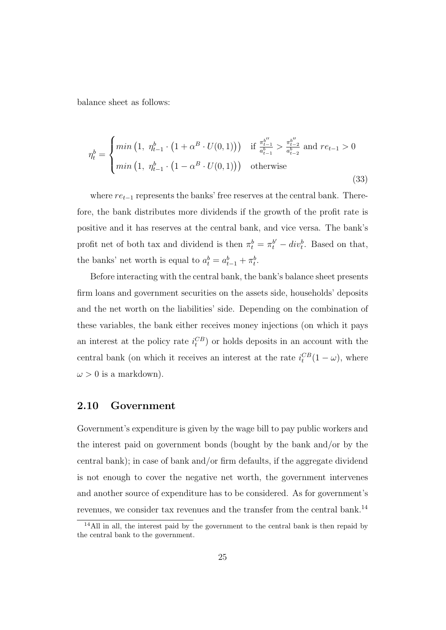balance sheet as follows:

$$
\eta_t^b = \begin{cases} \min\left(1, \ \eta_{t-1}^b \cdot \left(1 + \alpha^B \cdot U(0, 1)\right)\right) & \text{if } \frac{\pi_{t-1}^{b''}}{a_{t-1}^b} > \frac{\pi_{t-2}^{b''}}{a_{t-2}^b} \text{ and } re_{t-1} > 0\\ \min\left(1, \ \eta_{t-1}^b \cdot \left(1 - \alpha^B \cdot U(0, 1)\right)\right) & \text{otherwise} \end{cases}
$$
\n(33)

where  $re_{t-1}$  represents the banks' free reserves at the central bank. Therefore, the bank distributes more dividends if the growth of the profit rate is positive and it has reserves at the central bank, and vice versa. The bank's profit net of both tax and dividend is then  $\pi_t^b = \pi_t^{b'} - div_t^b$ . Based on that, the banks' net worth is equal to  $a_t^b = a_{t-1}^b + \pi_t^b$ .

Before interacting with the central bank, the bank's balance sheet presents firm loans and government securities on the assets side, households' deposits and the net worth on the liabilities' side. Depending on the combination of these variables, the bank either receives money injections (on which it pays an interest at the policy rate  $i_t^{CB}$  or holds deposits in an account with the central bank (on which it receives an interest at the rate  $i_t^{CB}(1-\omega)$ , where  $\omega > 0$  is a markdown).

#### 2.10 Government

Government's expenditure is given by the wage bill to pay public workers and the interest paid on government bonds (bought by the bank and/or by the central bank); in case of bank and/or firm defaults, if the aggregate dividend is not enough to cover the negative net worth, the government intervenes and another source of expenditure has to be considered. As for government's revenues, we consider tax revenues and the transfer from the central bank.<sup>14</sup>

<sup>14</sup>All in all, the interest paid by the government to the central bank is then repaid by the central bank to the government.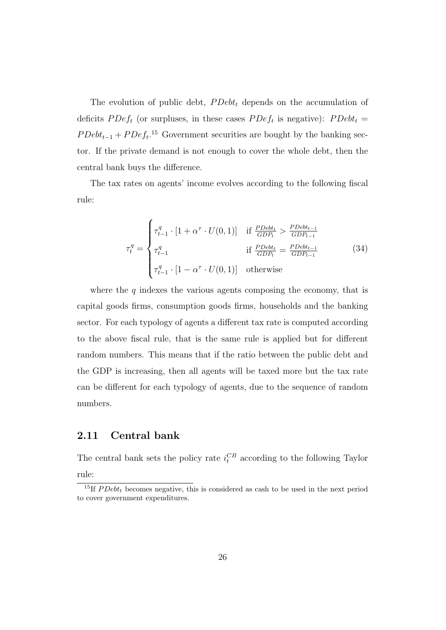The evolution of public debt,  $PDebt_t$  depends on the accumulation of deficits  $PDef_t$  (or surpluses, in these cases  $PDef_t$  is negative):  $PDebt_t =$  $PDebt_{t-1} + PDeft^{15}$  Government securities are bought by the banking sector. If the private demand is not enough to cover the whole debt, then the central bank buys the difference.

The tax rates on agents' income evolves according to the following fiscal rule:

$$
\tau_t^q = \begin{cases}\n\tau_{t-1}^q \cdot [1 + \alpha^\tau \cdot U(0, 1)] & \text{if } \frac{PDebt_t}{GDP_t} > \frac{PDebt_{t-1}}{GDP_{t-1}} \\
\tau_{t-1}^q & \text{if } \frac{PDebt_t}{GDP_t} = \frac{PDebt_{t-1}}{GDP_{t-1}} \\
\tau_{t-1}^q \cdot [1 - \alpha^\tau \cdot U(0, 1)] & \text{otherwise}\n\end{cases}
$$
\n(34)

where the  $q$  indexes the various agents composing the economy, that is capital goods firms, consumption goods firms, households and the banking sector. For each typology of agents a different tax rate is computed according to the above fiscal rule, that is the same rule is applied but for different random numbers. This means that if the ratio between the public debt and the GDP is increasing, then all agents will be taxed more but the tax rate can be different for each typology of agents, due to the sequence of random numbers.

#### 2.11 Central bank

The central bank sets the policy rate  $i_t^{CB}$  according to the following Taylor rule:

<sup>&</sup>lt;sup>15</sup>If  $PDebt<sub>t</sub>$  becomes negative, this is considered as cash to be used in the next period to cover government expenditures.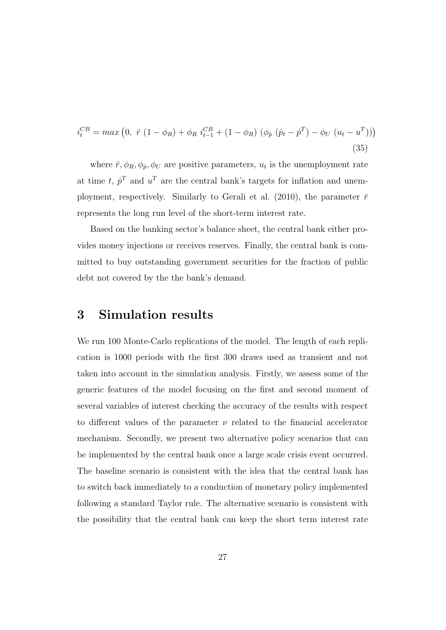$$
i_t^{CB} = max (0, \ \bar{r} (1 - \phi_R) + \phi_R i_{t-1}^{CB} + (1 - \phi_R) (\phi_{\dot{p}} (\dot{p}_t - \dot{p}^T) - \phi_U (u_t - u^T)))
$$
\n(35)

where  $\bar{r}, \phi_R, \phi_p, \phi_U$  are positive parameters,  $u_t$  is the unemployment rate at time t,  $\dot{p}^T$  and  $u^T$  are the central bank's targets for inflation and unemployment, respectively. Similarly to Gerali et al. (2010), the parameter  $\bar{r}$ represents the long run level of the short-term interest rate.

Based on the banking sector's balance sheet, the central bank either provides money injections or receives reserves. Finally, the central bank is committed to buy outstanding government securities for the fraction of public debt not covered by the the bank's demand.

## 3 Simulation results

We run 100 Monte-Carlo replications of the model. The length of each replication is 1000 periods with the first 300 draws used as transient and not taken into account in the simulation analysis. Firstly, we assess some of the generic features of the model focusing on the first and second moment of several variables of interest checking the accuracy of the results with respect to different values of the parameter  $\nu$  related to the financial accelerator mechanism. Secondly, we present two alternative policy scenarios that can be implemented by the central bank once a large scale crisis event occurred. The baseline scenario is consistent with the idea that the central bank has to switch back immediately to a conduction of monetary policy implemented following a standard Taylor rule. The alternative scenario is consistent with the possibility that the central bank can keep the short term interest rate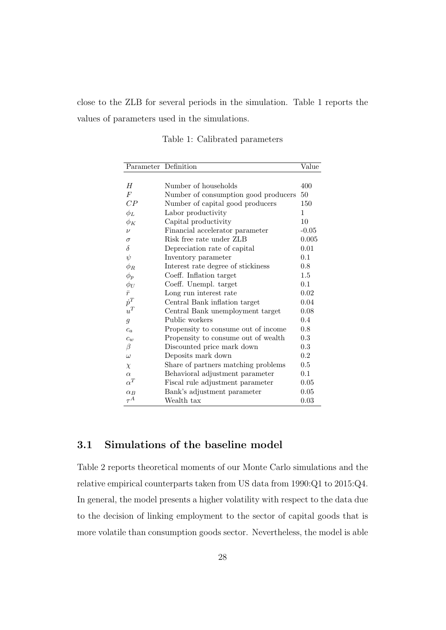close to the ZLB for several periods in the simulation. Table 1 reports the values of parameters used in the simulations.

| Parameter Definition |                                      |              |  |
|----------------------|--------------------------------------|--------------|--|
| H                    | Number of households                 | 400          |  |
| $\overline{F}$       | Number of consumption good producers | 50           |  |
| CP                   | Number of capital good producers     | 150          |  |
| $\phi_L$             | Labor productivity                   | $\mathbf{1}$ |  |
| $\phi_K$             | Capital productivity                 | 10           |  |
| $\boldsymbol{\nu}$   | Financial accelerator parameter      | $-0.05$      |  |
| $\sigma$             | Risk free rate under ZLB             | 0.005        |  |
| $\delta$             | Depreciation rate of capital         | 0.01         |  |
| $\psi$               | Inventory parameter                  | 0.1          |  |
| $\phi_R$             | Interest rate degree of stickiness   | 0.8          |  |
| $\phi_p$             | Coeff. Inflation target              | 1.5          |  |
| $\phi_U$             | Coeff. Unempl. target                | 0.1          |  |
| $\bar{r}$            | Long run interest rate               | 0.02         |  |
| $\dot{p}^T$          | Central Bank inflation target        | 0.04         |  |
| $u^T$                | Central Bank unemployment target     | 0.08         |  |
| $\mathfrak{g}$       | Public workers                       | 0.4          |  |
| $c_a$                | Propensity to consume out of income  | 0.8          |  |
| $c_w$                | Propensity to consume out of wealth  | 0.3          |  |
| β                    | Discounted price mark down           | 0.3          |  |

 $\omega$  Deposits mark down 0.2  $\chi$  Share of partners matching problems 0.5  $\alpha$  Behavioral adjustment parameter 0.1

 $\alpha_B$  Bank's adjustment parameter 0.05

Fiscal rule adjustment parameter 0.05

 $\begin{tabular}{cc} Wealth tax & \multicolumn{2}{c}{\textbf{0.03}}\\ \end{tabular}$ 

Table 1: Calibrated parameters

#### 3.1 Simulations of the baseline model

 $\dot{p}$ <sup> $\dot{p}$ </sup>

u

 $\alpha^T$ 

 $\tau^{\overrightarrow{A}}$ 

Table 2 reports theoretical moments of our Monte Carlo simulations and the relative empirical counterparts taken from US data from 1990:Q1 to 2015:Q4. In general, the model presents a higher volatility with respect to the data due to the decision of linking employment to the sector of capital goods that is more volatile than consumption goods sector. Nevertheless, the model is able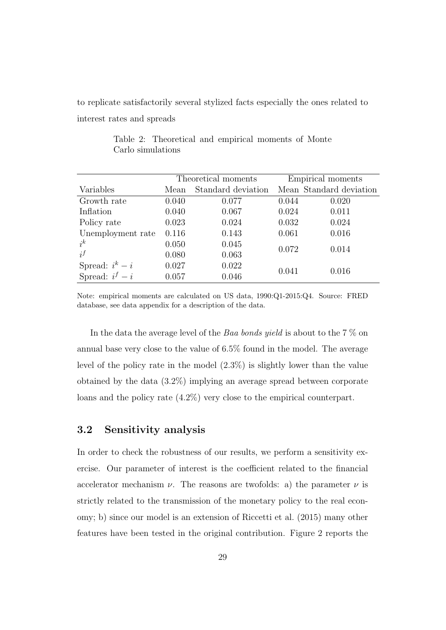to replicate satisfactorily several stylized facts especially the ones related to interest rates and spreads

Table 2: Theoretical and empirical moments of Monte Carlo simulations

|                   | Theoretical moments |                    | Empirical moments |                         |
|-------------------|---------------------|--------------------|-------------------|-------------------------|
| Variables         | Mean                | Standard deviation |                   | Mean Standard deviation |
| Growth rate       | 0.040               | 0.077              | 0.044             | 0.020                   |
| Inflation         | 0.040               | 0.067              | 0.024             | 0.011                   |
| Policy rate       | 0.023               | 0.024              | 0.032             | 0.024                   |
| Unemployment rate | 0.116               | 0.143              | 0.061             | 0.016                   |
| $i^k$             | 0.050               | 0.045              | 0.072<br>0.014    |                         |
| $i^f$             | 0.080               | 0.063              |                   |                         |
| Spread: $i^k - i$ | 0.027               | 0.022              | 0.041<br>0.016    |                         |
| Spread: $i^f - i$ | 0.057               | 0.046              |                   |                         |

Note: empirical moments are calculated on US data, 1990:Q1-2015:Q4. Source: FRED database, see data appendix for a description of the data.

In the data the average level of the Baa bonds yield is about to the 7  $\%$  on annual base very close to the value of 6.5% found in the model. The average level of the policy rate in the model (2.3%) is slightly lower than the value obtained by the data (3.2%) implying an average spread between corporate loans and the policy rate (4.2%) very close to the empirical counterpart.

#### 3.2 Sensitivity analysis

In order to check the robustness of our results, we perform a sensitivity exercise. Our parameter of interest is the coefficient related to the financial accelerator mechanism  $\nu$ . The reasons are twofolds: a) the parameter  $\nu$  is strictly related to the transmission of the monetary policy to the real economy; b) since our model is an extension of Riccetti et al. (2015) many other features have been tested in the original contribution. Figure 2 reports the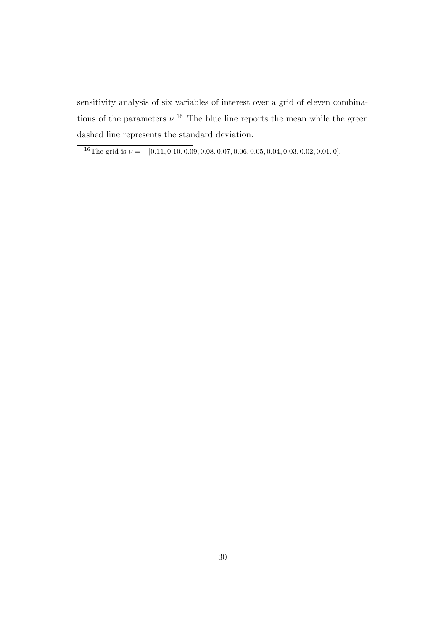sensitivity analysis of six variables of interest over a grid of eleven combinations of the parameters  $\nu$ .<sup>16</sup> The blue line reports the mean while the green dashed line represents the standard deviation.

<sup>&</sup>lt;sup>16</sup>The grid is  $\nu = -[0.11, 0.10, 0.09, 0.08, 0.07, 0.06, 0.05, 0.04, 0.03, 0.02, 0.01, 0].$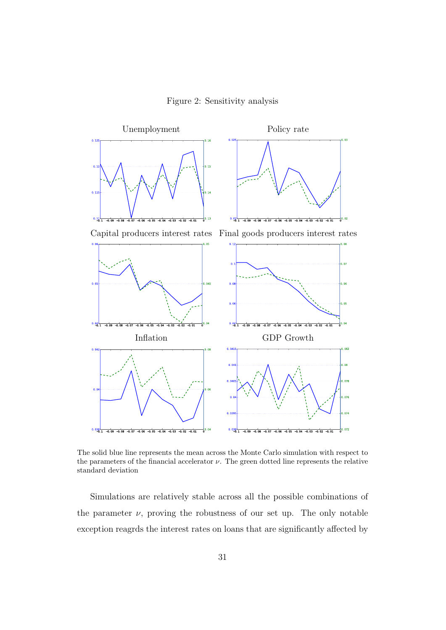Figure 2: Sensitivity analysis



The solid blue line represents the mean across the Monte Carlo simulation with respect to the parameters of the financial accelerator  $\nu$ . The green dotted line represents the relative standard deviation

Simulations are relatively stable across all the possible combinations of the parameter  $\nu$ , proving the robustness of our set up. The only notable exception reagrds the interest rates on loans that are significantly affected by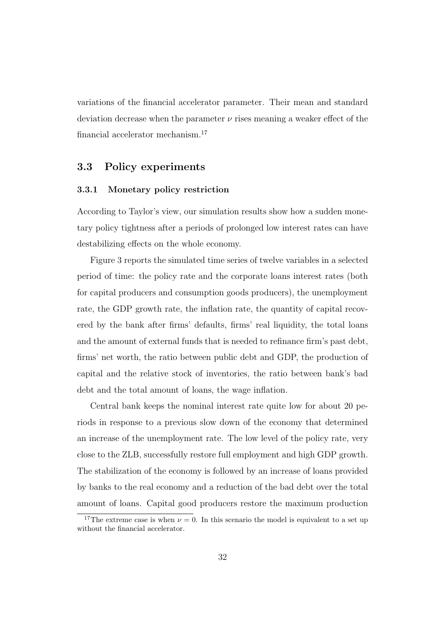variations of the financial accelerator parameter. Their mean and standard deviation decrease when the parameter  $\nu$  rises meaning a weaker effect of the financial accelerator mechanism.<sup>17</sup>

#### 3.3 Policy experiments

#### 3.3.1 Monetary policy restriction

According to Taylor's view, our simulation results show how a sudden monetary policy tightness after a periods of prolonged low interest rates can have destabilizing effects on the whole economy.

Figure 3 reports the simulated time series of twelve variables in a selected period of time: the policy rate and the corporate loans interest rates (both for capital producers and consumption goods producers), the unemployment rate, the GDP growth rate, the inflation rate, the quantity of capital recovered by the bank after firms' defaults, firms' real liquidity, the total loans and the amount of external funds that is needed to refinance firm's past debt, firms' net worth, the ratio between public debt and GDP, the production of capital and the relative stock of inventories, the ratio between bank's bad debt and the total amount of loans, the wage inflation.

Central bank keeps the nominal interest rate quite low for about 20 periods in response to a previous slow down of the economy that determined an increase of the unemployment rate. The low level of the policy rate, very close to the ZLB, successfully restore full employment and high GDP growth. The stabilization of the economy is followed by an increase of loans provided by banks to the real economy and a reduction of the bad debt over the total amount of loans. Capital good producers restore the maximum production

<sup>&</sup>lt;sup>17</sup>The extreme case is when  $\nu = 0$ . In this scenario the model is equivalent to a set up without the financial accelerator.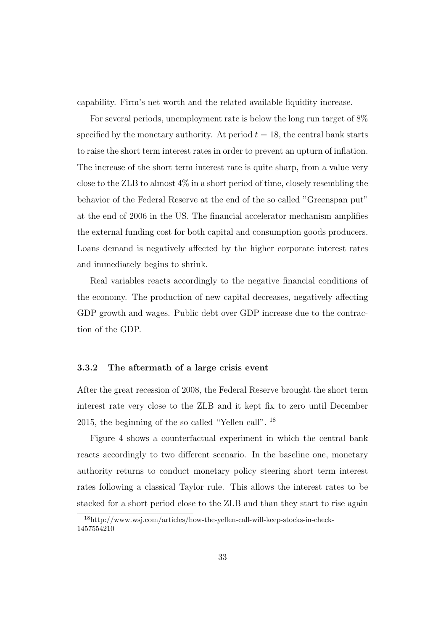capability. Firm's net worth and the related available liquidity increase.

For several periods, unemployment rate is below the long run target of 8% specified by the monetary authority. At period  $t = 18$ , the central bank starts to raise the short term interest rates in order to prevent an upturn of inflation. The increase of the short term interest rate is quite sharp, from a value very close to the ZLB to almost 4% in a short period of time, closely resembling the behavior of the Federal Reserve at the end of the so called "Greenspan put" at the end of 2006 in the US. The financial accelerator mechanism amplifies the external funding cost for both capital and consumption goods producers. Loans demand is negatively affected by the higher corporate interest rates and immediately begins to shrink.

Real variables reacts accordingly to the negative financial conditions of the economy. The production of new capital decreases, negatively affecting GDP growth and wages. Public debt over GDP increase due to the contraction of the GDP.

#### 3.3.2 The aftermath of a large crisis event

After the great recession of 2008, the Federal Reserve brought the short term interest rate very close to the ZLB and it kept fix to zero until December 2015, the beginning of the so called "Yellen call". <sup>18</sup>

Figure 4 shows a counterfactual experiment in which the central bank reacts accordingly to two different scenario. In the baseline one, monetary authority returns to conduct monetary policy steering short term interest rates following a classical Taylor rule. This allows the interest rates to be stacked for a short period close to the ZLB and than they start to rise again

<sup>18</sup>http://www.wsj.com/articles/how-the-yellen-call-will-keep-stocks-in-check-1457554210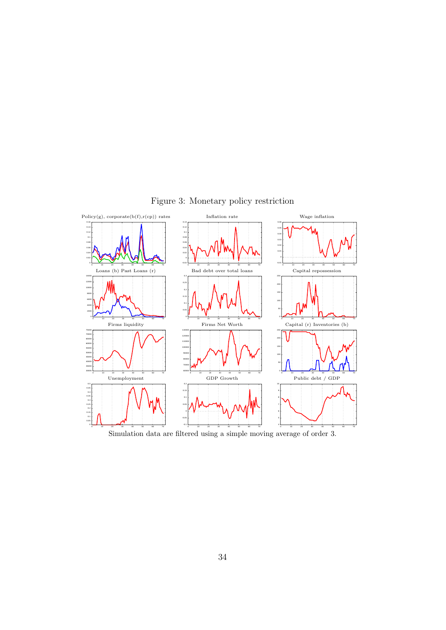

Figure 3: Monetary policy restriction

Simulation data are filtered using a simple moving average of order 3.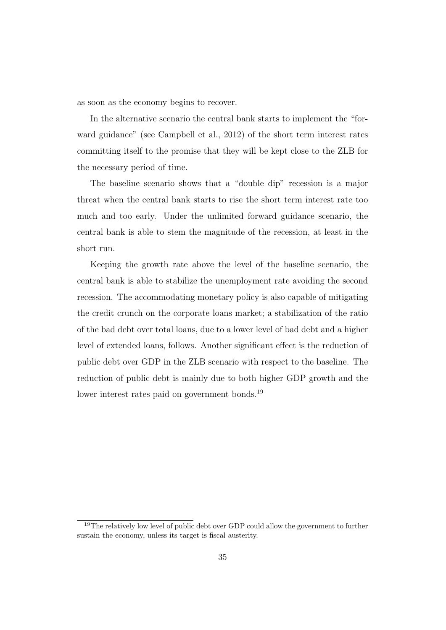as soon as the economy begins to recover.

In the alternative scenario the central bank starts to implement the "forward guidance" (see Campbell et al., 2012) of the short term interest rates committing itself to the promise that they will be kept close to the ZLB for the necessary period of time.

The baseline scenario shows that a "double dip" recession is a major threat when the central bank starts to rise the short term interest rate too much and too early. Under the unlimited forward guidance scenario, the central bank is able to stem the magnitude of the recession, at least in the short run.

Keeping the growth rate above the level of the baseline scenario, the central bank is able to stabilize the unemployment rate avoiding the second recession. The accommodating monetary policy is also capable of mitigating the credit crunch on the corporate loans market; a stabilization of the ratio of the bad debt over total loans, due to a lower level of bad debt and a higher level of extended loans, follows. Another significant effect is the reduction of public debt over GDP in the ZLB scenario with respect to the baseline. The reduction of public debt is mainly due to both higher GDP growth and the lower interest rates paid on government bonds.<sup>19</sup>

<sup>&</sup>lt;sup>19</sup>The relatively low level of public debt over GDP could allow the government to further sustain the economy, unless its target is fiscal austerity.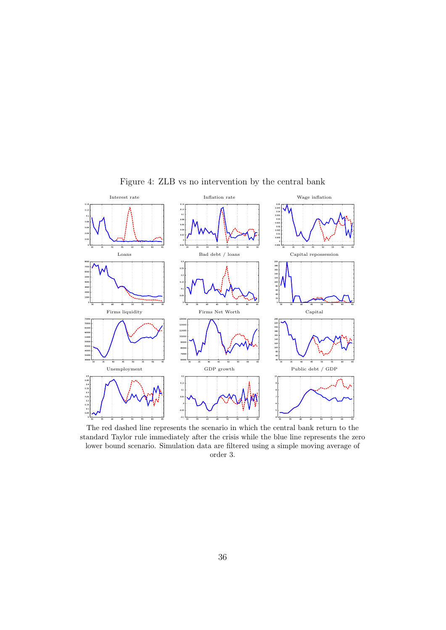

Figure 4: ZLB vs no intervention by the central bank

The red dashed line represents the scenario in which the central bank return to the standard Taylor rule immediately after the crisis while the blue line represents the zero lower bound scenario. Simulation data are filtered using a simple moving average of order 3.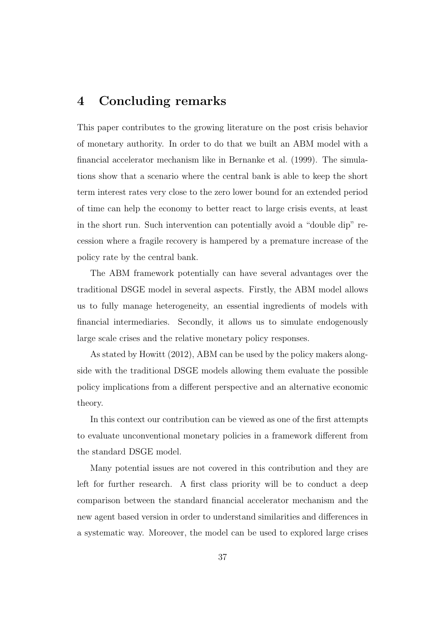## 4 Concluding remarks

This paper contributes to the growing literature on the post crisis behavior of monetary authority. In order to do that we built an ABM model with a financial accelerator mechanism like in Bernanke et al. (1999). The simulations show that a scenario where the central bank is able to keep the short term interest rates very close to the zero lower bound for an extended period of time can help the economy to better react to large crisis events, at least in the short run. Such intervention can potentially avoid a "double dip" recession where a fragile recovery is hampered by a premature increase of the policy rate by the central bank.

The ABM framework potentially can have several advantages over the traditional DSGE model in several aspects. Firstly, the ABM model allows us to fully manage heterogeneity, an essential ingredients of models with financial intermediaries. Secondly, it allows us to simulate endogenously large scale crises and the relative monetary policy responses.

As stated by Howitt (2012), ABM can be used by the policy makers alongside with the traditional DSGE models allowing them evaluate the possible policy implications from a different perspective and an alternative economic theory.

In this context our contribution can be viewed as one of the first attempts to evaluate unconventional monetary policies in a framework different from the standard DSGE model.

Many potential issues are not covered in this contribution and they are left for further research. A first class priority will be to conduct a deep comparison between the standard financial accelerator mechanism and the new agent based version in order to understand similarities and differences in a systematic way. Moreover, the model can be used to explored large crises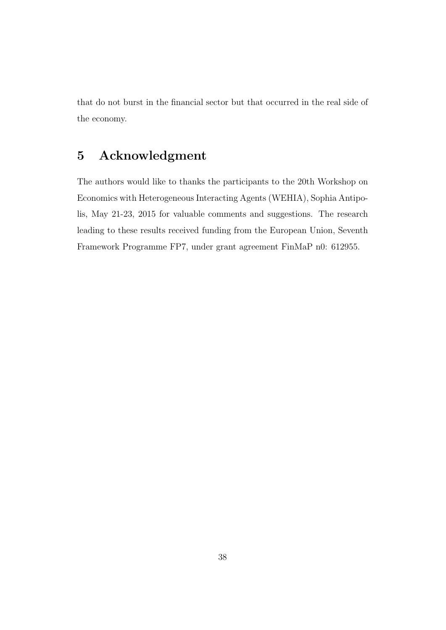that do not burst in the financial sector but that occurred in the real side of the economy.

# 5 Acknowledgment

The authors would like to thanks the participants to the 20th Workshop on Economics with Heterogeneous Interacting Agents (WEHIA), Sophia Antipolis, May 21-23, 2015 for valuable comments and suggestions. The research leading to these results received funding from the European Union, Seventh Framework Programme FP7, under grant agreement FinMaP n0: 612955.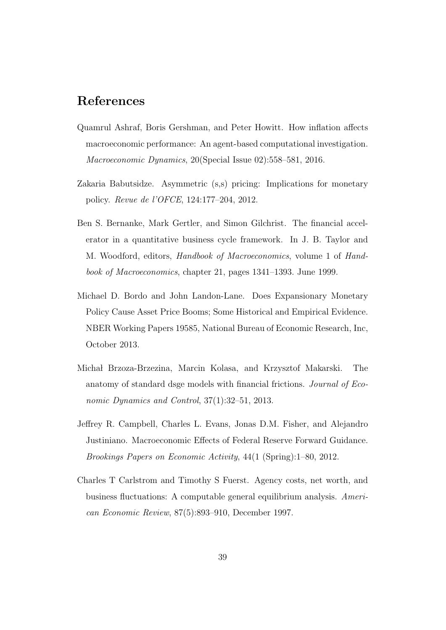## References

- Quamrul Ashraf, Boris Gershman, and Peter Howitt. How inflation affects macroeconomic performance: An agent-based computational investigation. Macroeconomic Dynamics, 20(Special Issue 02):558–581, 2016.
- Zakaria Babutsidze. Asymmetric (s,s) pricing: Implications for monetary policy. Revue de l'OFCE, 124:177–204, 2012.
- Ben S. Bernanke, Mark Gertler, and Simon Gilchrist. The financial accelerator in a quantitative business cycle framework. In J. B. Taylor and M. Woodford, editors, Handbook of Macroeconomics, volume 1 of Handbook of Macroeconomics, chapter 21, pages 1341–1393. June 1999.
- Michael D. Bordo and John Landon-Lane. Does Expansionary Monetary Policy Cause Asset Price Booms; Some Historical and Empirical Evidence. NBER Working Papers 19585, National Bureau of Economic Research, Inc, October 2013.
- Michał Brzoza-Brzezina, Marcin Kolasa, and Krzysztof Makarski. The anatomy of standard dsge models with financial frictions. Journal of Economic Dynamics and Control, 37(1):32–51, 2013.
- Jeffrey R. Campbell, Charles L. Evans, Jonas D.M. Fisher, and Alejandro Justiniano. Macroeconomic Effects of Federal Reserve Forward Guidance. Brookings Papers on Economic Activity, 44(1 (Spring):1–80, 2012.
- Charles T Carlstrom and Timothy S Fuerst. Agency costs, net worth, and business fluctuations: A computable general equilibrium analysis. American Economic Review, 87(5):893–910, December 1997.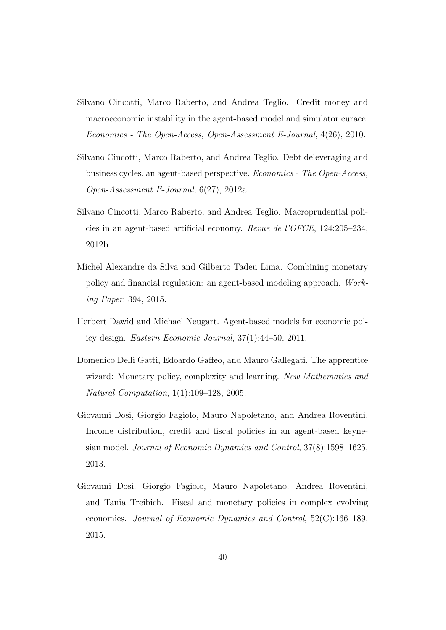- Silvano Cincotti, Marco Raberto, and Andrea Teglio. Credit money and macroeconomic instability in the agent-based model and simulator eurace. Economics - The Open-Access, Open-Assessment E-Journal, 4(26), 2010.
- Silvano Cincotti, Marco Raberto, and Andrea Teglio. Debt deleveraging and business cycles. an agent-based perspective. Economics - The Open-Access, Open-Assessment E-Journal, 6(27), 2012a.
- Silvano Cincotti, Marco Raberto, and Andrea Teglio. Macroprudential policies in an agent-based artificial economy. Revue de l'OFCE, 124:205–234, 2012b.
- Michel Alexandre da Silva and Gilberto Tadeu Lima. Combining monetary policy and financial regulation: an agent-based modeling approach. Working Paper, 394, 2015.
- Herbert Dawid and Michael Neugart. Agent-based models for economic policy design. Eastern Economic Journal, 37(1):44–50, 2011.
- Domenico Delli Gatti, Edoardo Gaffeo, and Mauro Gallegati. The apprentice wizard: Monetary policy, complexity and learning. New Mathematics and Natural Computation, 1(1):109–128, 2005.
- Giovanni Dosi, Giorgio Fagiolo, Mauro Napoletano, and Andrea Roventini. Income distribution, credit and fiscal policies in an agent-based keynesian model. Journal of Economic Dynamics and Control, 37(8):1598–1625, 2013.
- Giovanni Dosi, Giorgio Fagiolo, Mauro Napoletano, Andrea Roventini, and Tania Treibich. Fiscal and monetary policies in complex evolving economies. Journal of Economic Dynamics and Control, 52(C):166–189, 2015.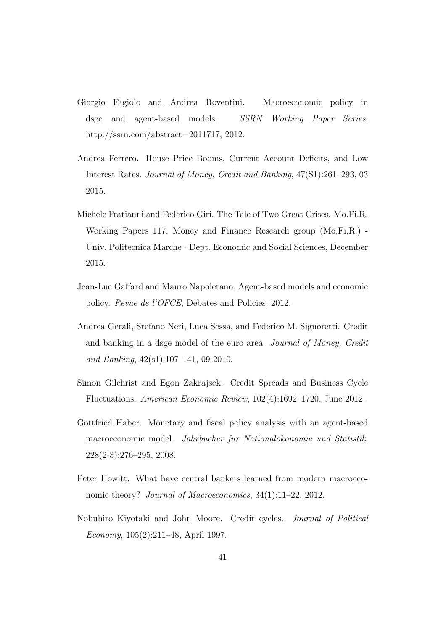- Giorgio Fagiolo and Andrea Roventini. Macroeconomic policy in dsge and agent-based models. SSRN Working Paper Series, http://ssrn.com/abstract=2011717, 2012.
- Andrea Ferrero. House Price Booms, Current Account Deficits, and Low Interest Rates. Journal of Money, Credit and Banking, 47(S1):261–293, 03 2015.
- Michele Fratianni and Federico Giri. The Tale of Two Great Crises. Mo.Fi.R. Working Papers 117, Money and Finance Research group (Mo.Fi.R.) - Univ. Politecnica Marche - Dept. Economic and Social Sciences, December 2015.
- Jean-Luc Gaffard and Mauro Napoletano. Agent-based models and economic policy. Revue de l'OFCE, Debates and Policies, 2012.
- Andrea Gerali, Stefano Neri, Luca Sessa, and Federico M. Signoretti. Credit and banking in a dsge model of the euro area. Journal of Money, Credit and Banking, 42(s1):107–141, 09 2010.
- Simon Gilchrist and Egon Zakrajsek. Credit Spreads and Business Cycle Fluctuations. American Economic Review, 102(4):1692–1720, June 2012.
- Gottfried Haber. Monetary and fiscal policy analysis with an agent-based macroeconomic model. Jahrbucher fur Nationalokonomie und Statistik, 228(2-3):276–295, 2008.
- Peter Howitt. What have central bankers learned from modern macroeconomic theory? Journal of Macroeconomics, 34(1):11–22, 2012.
- Nobuhiro Kiyotaki and John Moore. Credit cycles. Journal of Political Economy, 105(2):211–48, April 1997.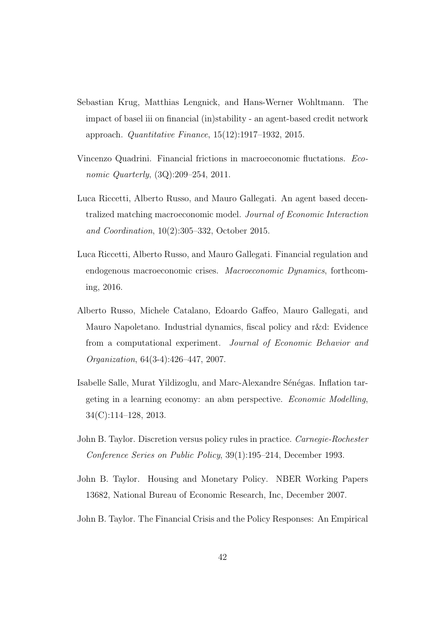- Sebastian Krug, Matthias Lengnick, and Hans-Werner Wohltmann. The impact of basel iii on financial (in)stability - an agent-based credit network approach. Quantitative Finance, 15(12):1917–1932, 2015.
- Vincenzo Quadrini. Financial frictions in macroeconomic fluctations. Economic Quarterly, (3Q):209–254, 2011.
- Luca Riccetti, Alberto Russo, and Mauro Gallegati. An agent based decentralized matching macroeconomic model. Journal of Economic Interaction and Coordination, 10(2):305–332, October 2015.
- Luca Riccetti, Alberto Russo, and Mauro Gallegati. Financial regulation and endogenous macroeconomic crises. Macroeconomic Dynamics, forthcoming, 2016.
- Alberto Russo, Michele Catalano, Edoardo Gaffeo, Mauro Gallegati, and Mauro Napoletano. Industrial dynamics, fiscal policy and r&d: Evidence from a computational experiment. Journal of Economic Behavior and Organization, 64(3-4):426–447, 2007.
- Isabelle Salle, Murat Yildizoglu, and Marc-Alexandre Sénégas. Inflation targeting in a learning economy: an abm perspective. Economic Modelling, 34(C):114–128, 2013.
- John B. Taylor. Discretion versus policy rules in practice. Carnegie-Rochester Conference Series on Public Policy, 39(1):195–214, December 1993.
- John B. Taylor. Housing and Monetary Policy. NBER Working Papers 13682, National Bureau of Economic Research, Inc, December 2007.
- John B. Taylor. The Financial Crisis and the Policy Responses: An Empirical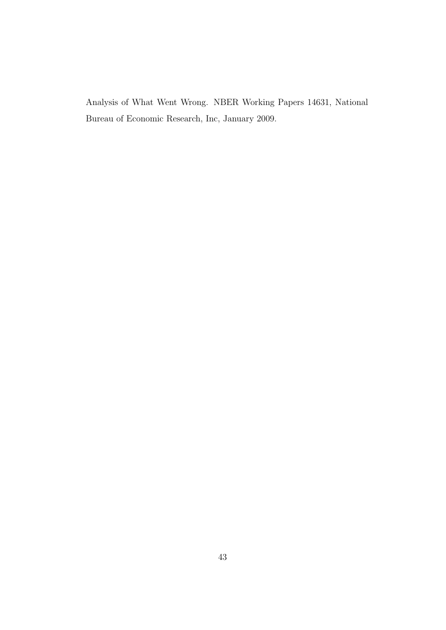Analysis of What Went Wrong. NBER Working Papers 14631, National Bureau of Economic Research, Inc, January 2009.